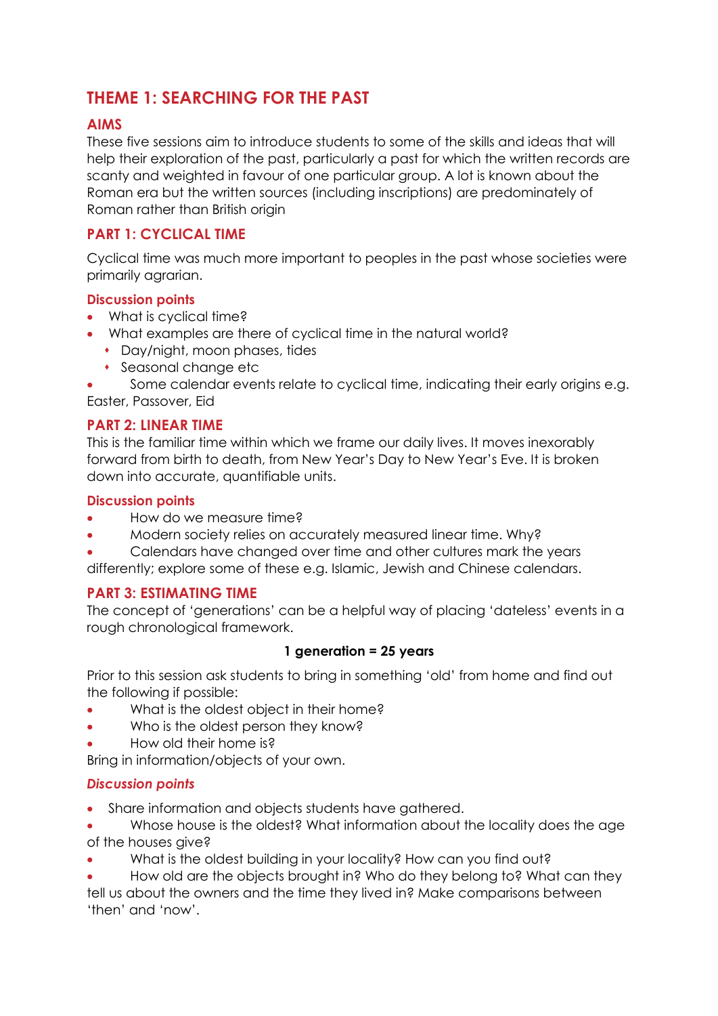# **THEME 1: SEARCHING FOR THE PAST**

# **AIMS**

These five sessions aim to introduce students to some of the skills and ideas that will help their exploration of the past, particularly a past for which the written records are scanty and weighted in favour of one particular group. A lot is known about the Roman era but the written sources (including inscriptions) are predominately of Roman rather than British origin

# **PART 1: CYCLICAL TIME**

Cyclical time was much more important to peoples in the past whose societies were primarily agrarian.

### **Discussion points**

- What is cyclical time?
- What examples are there of cyclical time in the natural world?
	- Day/night, moon phases, tides
	- Seasonal change etc

 Some calendar events relate to cyclical time, indicating their early origins e.g. Easter, Passover, Eid

### **PART 2: LINEAR TIME**

This is the familiar time within which we frame our daily lives. It moves inexorably forward from birth to death, from New Year's Day to New Year's Eve. It is broken down into accurate, quantifiable units.

### **Discussion points**

- How do we measure time?
- Modern society relies on accurately measured linear time. Why?
- Calendars have changed over time and other cultures mark the years
- differently; explore some of these e.g. Islamic, Jewish and Chinese calendars.

### **PART 3: ESTIMATING TIME**

The concept of 'generations' can be a helpful way of placing 'dateless' events in a rough chronological framework.

### **1 generation = 25 years**

Prior to this session ask students to bring in something 'old' from home and find out the following if possible:

- What is the oldest object in their home?
- Who is the oldest person they know?
- How old their home is?

Bring in information/objects of your own.

### *Discussion points*

- Share information and objects students have gathered.
- Whose house is the oldest? What information about the locality does the age of the houses give?
- What is the oldest building in your locality? How can you find out?

 How old are the objects brought in? Who do they belong to? What can they tell us about the owners and the time they lived in? Make comparisons between 'then' and 'now'.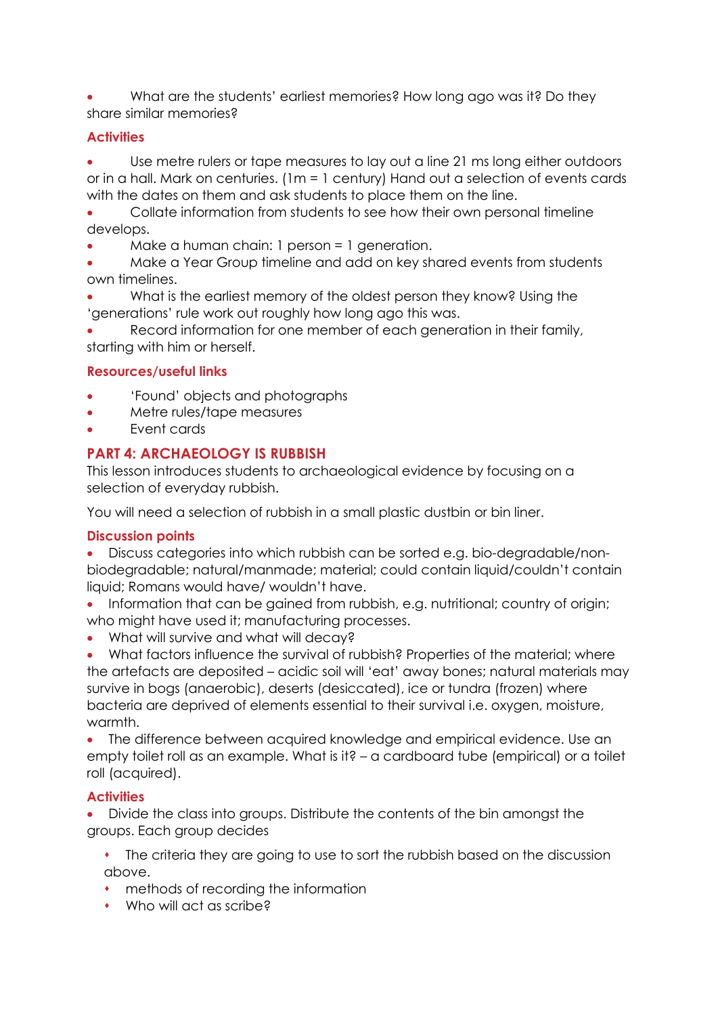What are the students' earliest memories? How long ago was it? Do they share similar memories?

### **Activities**

 Use metre rulers or tape measures to lay out a line 21 ms long either outdoors or in a hall. Mark on centuries. (1m = 1 century) Hand out a selection of events cards with the dates on them and ask students to place them on the line.

 Collate information from students to see how their own personal timeline develops.

Make a human chain: 1 person = 1 generation.

 Make a Year Group timeline and add on key shared events from students own timelines.

 What is the earliest memory of the oldest person they know? Using the 'generations' rule work out roughly how long ago this was.

 Record information for one member of each generation in their family, starting with him or herself.

### **Resources/useful links**

- 'Found' objects and photographs
- Metre rules/tape measures
- Event cards

### **PART 4: ARCHAEOLOGY IS RUBBISH**

This lesson introduces students to archaeological evidence by focusing on a selection of everyday rubbish.

You will need a selection of rubbish in a small plastic dustbin or bin liner.

### **Discussion points**

 Discuss categories into which rubbish can be sorted e.g. bio-degradable/nonbiodegradable; natural/manmade; material; could contain liquid/couldn't contain liquid; Romans would have/ wouldn't have.

- Information that can be gained from rubbish, e.g. nutritional; country of origin; who might have used it; manufacturing processes.
- What will survive and what will decay?

 What factors influence the survival of rubbish? Properties of the material; where the artefacts are deposited – acidic soil will 'eat' away bones; natural materials may survive in bogs (anaerobic), deserts (desiccated), ice or tundra (frozen) where bacteria are deprived of elements essential to their survival i.e. oxygen, moisture, warmth.

 The difference between acquired knowledge and empirical evidence. Use an empty toilet roll as an example. What is it? – a cardboard tube (empirical) or a toilet roll (acquired).

### **Activities**

 Divide the class into groups. Distribute the contents of the bin amongst the groups. Each group decides

 The criteria they are going to use to sort the rubbish based on the discussion above.

- methods of recording the information
- Who will act as scribe?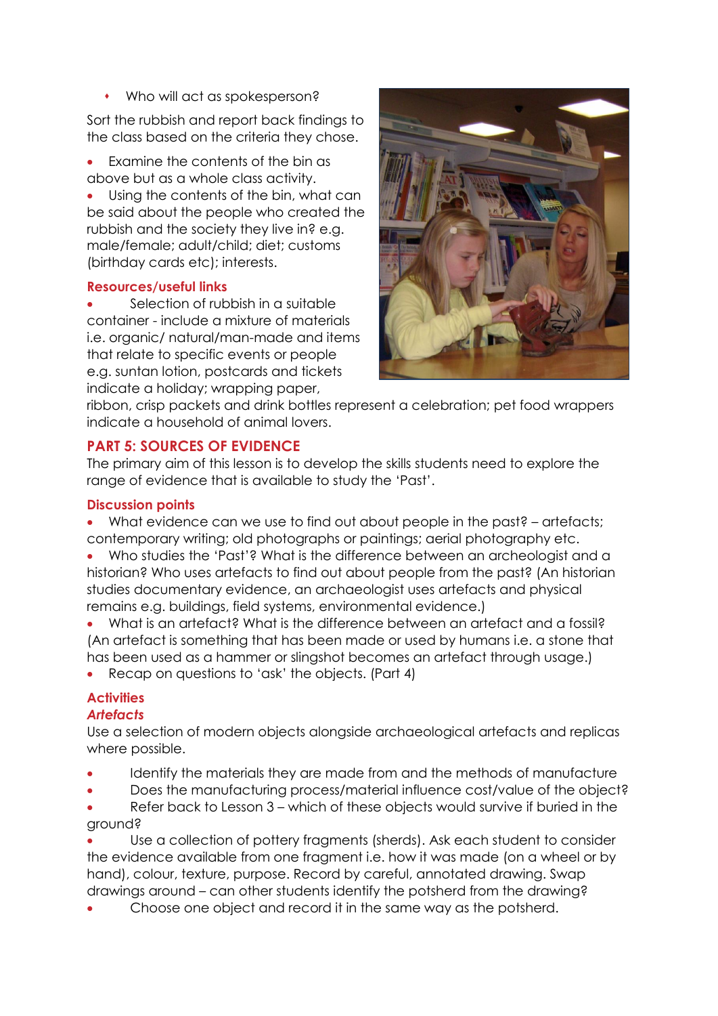Who will act as spokesperson?

Sort the rubbish and report back findings to the class based on the criteria they chose.

• Examine the contents of the bin as above but as a whole class activity.

 Using the contents of the bin, what can be said about the people who created the rubbish and the society they live in? e.g. male/female; adult/child; diet; customs (birthday cards etc); interests.

### **Resources/useful links**

 Selection of rubbish in a suitable container - include a mixture of materials i.e. organic/ natural/man-made and items that relate to specific events or people e.g. suntan lotion, postcards and tickets indicate a holiday; wrapping paper,



ribbon, crisp packets and drink bottles represent a celebration; pet food wrappers indicate a household of animal lovers.

# **PART 5: SOURCES OF EVIDENCE**

The primary aim of this lesson is to develop the skills students need to explore the range of evidence that is available to study the 'Past'.

### **Discussion points**

 What evidence can we use to find out about people in the past? – artefacts; contemporary writing; old photographs or paintings; aerial photography etc.

 Who studies the 'Past'? What is the difference between an archeologist and a historian? Who uses artefacts to find out about people from the past? (An historian studies documentary evidence, an archaeologist uses artefacts and physical remains e.g. buildings, field systems, environmental evidence.)

What is an artefact? What is the difference between an artefact and a fossil? (An artefact is something that has been made or used by humans i.e. a stone that has been used as a hammer or slingshot becomes an artefact through usage.) Recap on questions to 'ask' the objects. (Part 4)

**Activities**

### *Artefacts*

Use a selection of modern objects alongside archaeological artefacts and replicas where possible.

- Identify the materials they are made from and the methods of manufacture
- Does the manufacturing process/material influence cost/value of the object?

 Refer back to Lesson 3 – which of these objects would survive if buried in the ground?

 Use a collection of pottery fragments (sherds). Ask each student to consider the evidence available from one fragment i.e. how it was made (on a wheel or by hand), colour, texture, purpose. Record by careful, annotated drawing. Swap drawings around – can other students identify the potsherd from the drawing?

Choose one object and record it in the same way as the potsherd.